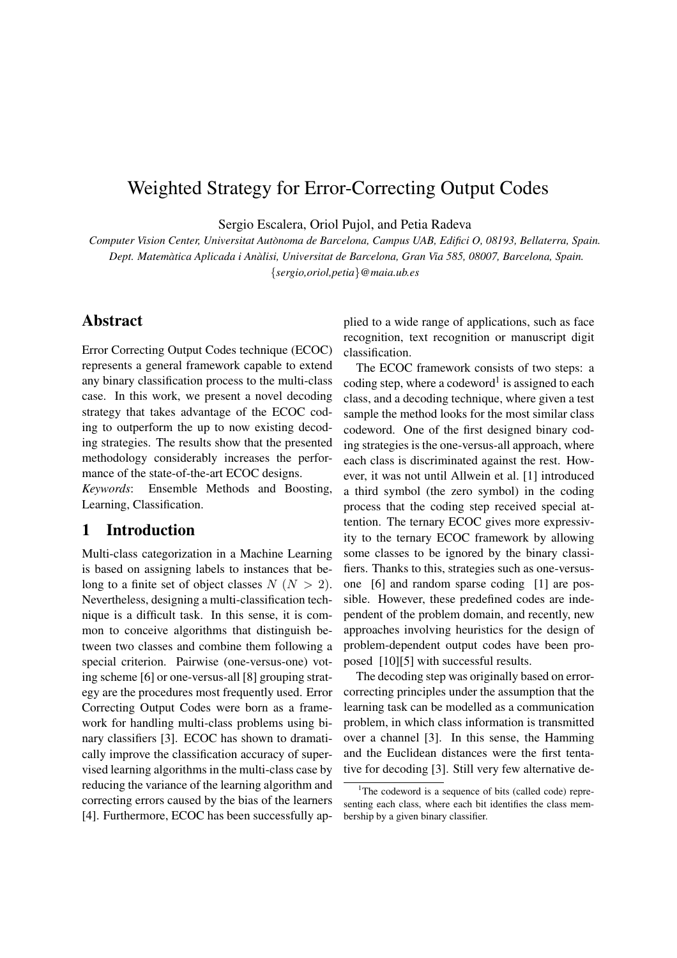# Weighted Strategy for Error-Correcting Output Codes

Sergio Escalera, Oriol Pujol, and Petia Radeva

*Computer Vision Center, Universitat Autonoma de Barcelona, Campus UAB, Edifici O, 08193, Bellaterra, Spain. ` Dept. Matematica Aplicada i An ` alisi, Universitat de Barcelona, Gran Via 585, 08007, Barcelona, Spain. `* {*sergio,oriol,petia*}*@maia.ub.es*

# Abstract

Error Correcting Output Codes technique (ECOC) represents a general framework capable to extend any binary classification process to the multi-class case. In this work, we present a novel decoding strategy that takes advantage of the ECOC coding to outperform the up to now existing decoding strategies. The results show that the presented methodology considerably increases the performance of the state-of-the-art ECOC designs.

*Keywords*: Ensemble Methods and Boosting, Learning, Classification.

## 1 Introduction

Multi-class categorization in a Machine Learning is based on assigning labels to instances that belong to a finite set of object classes  $N (N > 2)$ . Nevertheless, designing a multi-classification technique is a difficult task. In this sense, it is common to conceive algorithms that distinguish between two classes and combine them following a special criterion. Pairwise (one-versus-one) voting scheme [6] or one-versus-all [8] grouping strategy are the procedures most frequently used. Error Correcting Output Codes were born as a framework for handling multi-class problems using binary classifiers [3]. ECOC has shown to dramatically improve the classification accuracy of supervised learning algorithms in the multi-class case by reducing the variance of the learning algorithm and correcting errors caused by the bias of the learners [4]. Furthermore, ECOC has been successfully applied to a wide range of applications, such as face recognition, text recognition or manuscript digit classification.

The ECOC framework consists of two steps: a coding step, where a codeword<sup>1</sup> is assigned to each class, and a decoding technique, where given a test sample the method looks for the most similar class codeword. One of the first designed binary coding strategies is the one-versus-all approach, where each class is discriminated against the rest. However, it was not until Allwein et al. [1] introduced a third symbol (the zero symbol) in the coding process that the coding step received special attention. The ternary ECOC gives more expressivity to the ternary ECOC framework by allowing some classes to be ignored by the binary classifiers. Thanks to this, strategies such as one-versusone [6] and random sparse coding [1] are possible. However, these predefined codes are independent of the problem domain, and recently, new approaches involving heuristics for the design of problem-dependent output codes have been proposed [10][5] with successful results.

The decoding step was originally based on errorcorrecting principles under the assumption that the learning task can be modelled as a communication problem, in which class information is transmitted over a channel [3]. In this sense, the Hamming and the Euclidean distances were the first tentative for decoding [3]. Still very few alternative de-

<sup>&</sup>lt;sup>1</sup>The codeword is a sequence of bits (called code) representing each class, where each bit identifies the class membership by a given binary classifier.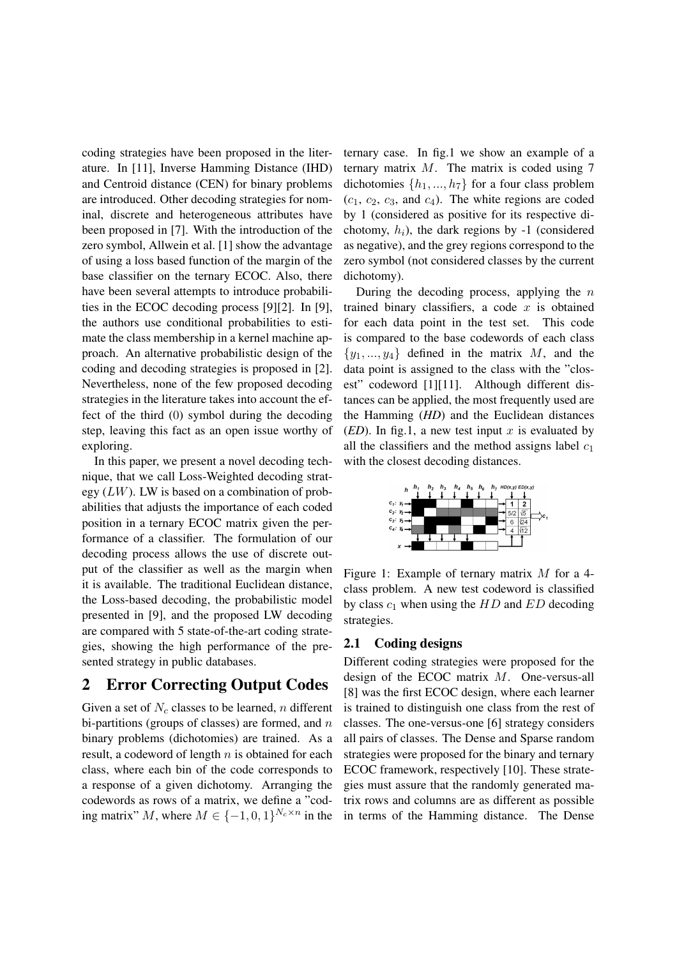coding strategies have been proposed in the literature. In [11], Inverse Hamming Distance (IHD) and Centroid distance (CEN) for binary problems are introduced. Other decoding strategies for nominal, discrete and heterogeneous attributes have been proposed in [7]. With the introduction of the zero symbol, Allwein et al. [1] show the advantage of using a loss based function of the margin of the base classifier on the ternary ECOC. Also, there have been several attempts to introduce probabilities in the ECOC decoding process [9][2]. In [9], the authors use conditional probabilities to estimate the class membership in a kernel machine approach. An alternative probabilistic design of the coding and decoding strategies is proposed in [2]. Nevertheless, none of the few proposed decoding strategies in the literature takes into account the effect of the third (0) symbol during the decoding step, leaving this fact as an open issue worthy of exploring.

In this paper, we present a novel decoding technique, that we call Loss-Weighted decoding strategy  $(LW)$ . LW is based on a combination of probabilities that adjusts the importance of each coded position in a ternary ECOC matrix given the performance of a classifier. The formulation of our decoding process allows the use of discrete output of the classifier as well as the margin when it is available. The traditional Euclidean distance, the Loss-based decoding, the probabilistic model presented in [9], and the proposed LW decoding are compared with 5 state-of-the-art coding strategies, showing the high performance of the presented strategy in public databases.

# 2 Error Correcting Output Codes

Given a set of  $N_c$  classes to be learned, n different bi-partitions (groups of classes) are formed, and  $n$ binary problems (dichotomies) are trained. As a result, a codeword of length  $n$  is obtained for each class, where each bin of the code corresponds to a response of a given dichotomy. Arranging the codewords as rows of a matrix, we define a "coding matrix" M, where  $M \in \{-1, 0, 1\}^{N_c \times n}$  in the

ternary case. In fig.1 we show an example of a ternary matrix  $M$ . The matrix is coded using 7 dichotomies  $\{h_1, ..., h_7\}$  for a four class problem  $(c_1, c_2, c_3, \text{ and } c_4)$ . The white regions are coded by 1 (considered as positive for its respective dichotomy,  $h_i$ ), the dark regions by -1 (considered as negative), and the grey regions correspond to the zero symbol (not considered classes by the current dichotomy).

During the decoding process, applying the  $n$ trained binary classifiers, a code  $x$  is obtained for each data point in the test set. This code is compared to the base codewords of each class  $\{y_1, \ldots, y_4\}$  defined in the matrix M, and the data point is assigned to the class with the "closest" codeword [1][11]. Although different distances can be applied, the most frequently used are the Hamming (*HD*) and the Euclidean distances (*ED*). In fig.1, a new test input x is evaluated by all the classifiers and the method assigns label  $c_1$ with the closest decoding distances.



Figure 1: Example of ternary matrix M for a 4 class problem. A new test codeword is classified by class  $c_1$  when using the HD and ED decoding strategies.

#### 2.1 Coding designs

Different coding strategies were proposed for the design of the ECOC matrix M. One-versus-all [8] was the first ECOC design, where each learner is trained to distinguish one class from the rest of classes. The one-versus-one [6] strategy considers all pairs of classes. The Dense and Sparse random strategies were proposed for the binary and ternary ECOC framework, respectively [10]. These strategies must assure that the randomly generated matrix rows and columns are as different as possible in terms of the Hamming distance. The Dense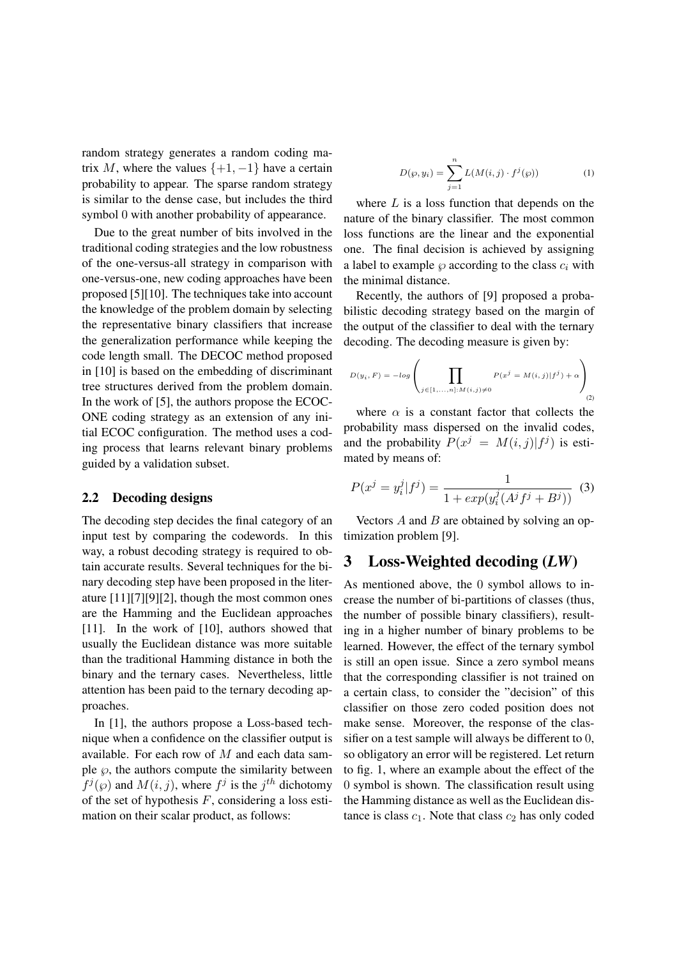random strategy generates a random coding matrix M, where the values  $\{+1, -1\}$  have a certain probability to appear. The sparse random strategy is similar to the dense case, but includes the third symbol 0 with another probability of appearance.

Due to the great number of bits involved in the traditional coding strategies and the low robustness of the one-versus-all strategy in comparison with one-versus-one, new coding approaches have been proposed [5][10]. The techniques take into account the knowledge of the problem domain by selecting the representative binary classifiers that increase the generalization performance while keeping the code length small. The DECOC method proposed in [10] is based on the embedding of discriminant tree structures derived from the problem domain. In the work of [5], the authors propose the ECOC-ONE coding strategy as an extension of any initial ECOC configuration. The method uses a coding process that learns relevant binary problems guided by a validation subset.

#### 2.2 Decoding designs

The decoding step decides the final category of an input test by comparing the codewords. In this way, a robust decoding strategy is required to obtain accurate results. Several techniques for the binary decoding step have been proposed in the literature [11][7][9][2], though the most common ones are the Hamming and the Euclidean approaches [11]. In the work of [10], authors showed that usually the Euclidean distance was more suitable than the traditional Hamming distance in both the binary and the ternary cases. Nevertheless, little attention has been paid to the ternary decoding approaches.

In [1], the authors propose a Loss-based technique when a confidence on the classifier output is available. For each row of M and each data sample  $\wp$ , the authors compute the similarity between  $f^j(\varphi)$  and  $M(i, j)$ , where  $f^j$  is the  $j^{th}$  dichotomy of the set of hypothesis  $F$ , considering a loss estimation on their scalar product, as follows:

$$
D(\varphi, y_i) = \sum_{j=1}^{n} L(M(i, j) \cdot f^j(\varphi))
$$
 (1)

where  $L$  is a loss function that depends on the nature of the binary classifier. The most common loss functions are the linear and the exponential one. The final decision is achieved by assigning a label to example  $\wp$  according to the class  $c_i$  with the minimal distance.

Recently, the authors of [9] proposed a probabilistic decoding strategy based on the margin of the output of the classifier to deal with the ternary decoding. The decoding measure is given by:

$$
D(y_i, F) = -log\left(\prod_{j \in [1, ..., n]: M(i, j) \neq 0} P(x^j = M(i, j) | f^j) + \alpha\right)
$$
\n(2)

where  $\alpha$  is a constant factor that collects the probability mass dispersed on the invalid codes, and the probability  $P(x^j = M(i, j) | f^j)$  is estimated by means of:

$$
P(x^{j} = y_{i}^{j} | f^{j}) = \frac{1}{1 + exp(y_{i}^{j}(A^{j}f^{j} + B^{j}))}
$$
 (3)

Vectors  $A$  and  $B$  are obtained by solving an optimization problem [9].

### 3 Loss-Weighted decoding (*LW*)

As mentioned above, the 0 symbol allows to increase the number of bi-partitions of classes (thus, the number of possible binary classifiers), resulting in a higher number of binary problems to be learned. However, the effect of the ternary symbol is still an open issue. Since a zero symbol means that the corresponding classifier is not trained on a certain class, to consider the "decision" of this classifier on those zero coded position does not make sense. Moreover, the response of the classifier on a test sample will always be different to 0, so obligatory an error will be registered. Let return to fig. 1, where an example about the effect of the 0 symbol is shown. The classification result using the Hamming distance as well as the Euclidean distance is class  $c_1$ . Note that class  $c_2$  has only coded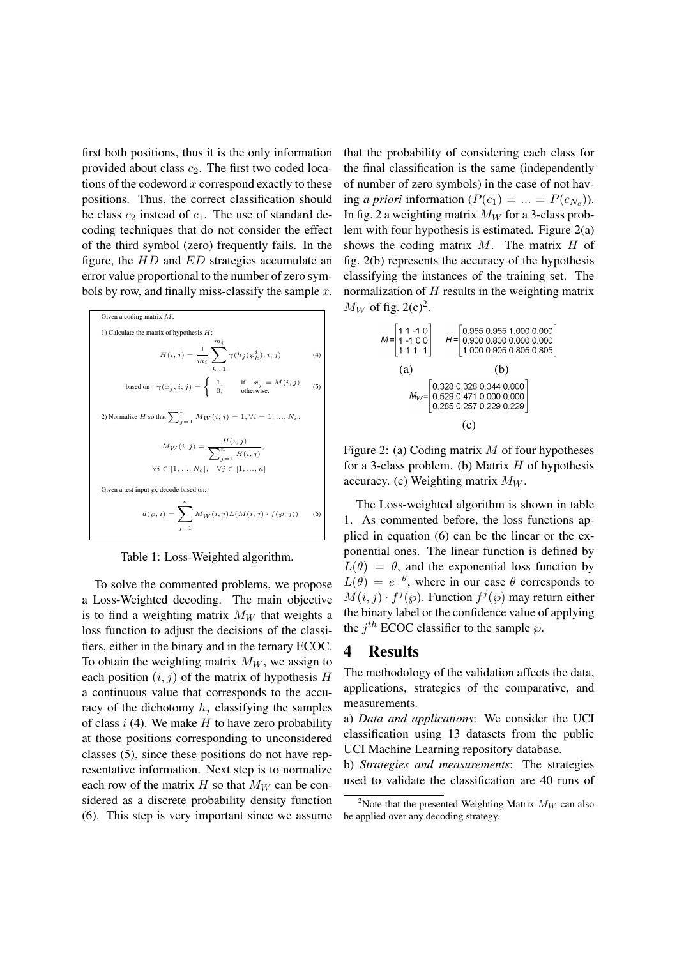first both positions, thus it is the only information provided about class  $c_2$ . The first two coded locations of the codeword  $x$  correspond exactly to these positions. Thus, the correct classification should be class  $c_2$  instead of  $c_1$ . The use of standard decoding techniques that do not consider the effect of the third symbol (zero) frequently fails. In the figure, the  $HD$  and  $ED$  strategies accumulate an error value proportional to the number of zero symbols by row, and finally miss-classify the sample  $x$ .

Given a coding matrix 
$$
M
$$
,  
\n1) Calculate the matrix of hypothesis  $H$ :  
\n
$$
H(i, j) = \frac{1}{m_i} \sum_{k=1}^{m_i} \gamma(h_j(\wp_k^i), i, j)
$$
\n(4)  
\nbased on  $\gamma(x_j, i, j) = \begin{cases} 1, & \text{if } x_j = M(i, j) \\ 0, & \text{otherwise.} \end{cases}$   
\n2) Normalize  $H$  so that  $\sum_{j=1}^{n} M_W(i, j) = 1, \forall i = 1, ..., N_c$ :  
\n
$$
M_W(i, j) = \frac{H(i, j)}{\sum_{j=1}^{n} H(i, j)},
$$
\n
$$
\forall i \in [1, ..., N_c], \quad \forall j \in [1, ..., n]
$$
  
\nGiven a test input  $\wp$ , decode based on:  
\n
$$
d(\wp, i) = \sum_{j=1}^{n} M_W(i, j) L(M(i, j) \cdot f(\wp, j))
$$
\n(6)

Table 1: Loss-Weighted algorithm.

To solve the commented problems, we propose a Loss-Weighted decoding. The main objective is to find a weighting matrix  $M_W$  that weights a loss function to adjust the decisions of the classifiers, either in the binary and in the ternary ECOC. To obtain the weighting matrix  $M_W$ , we assign to each position  $(i, j)$  of the matrix of hypothesis H a continuous value that corresponds to the accuracy of the dichotomy  $h_j$  classifying the samples of class  $i$  (4). We make  $H$  to have zero probability at those positions corresponding to unconsidered classes (5), since these positions do not have representative information. Next step is to normalize each row of the matrix H so that  $M_W$  can be considered as a discrete probability density function (6). This step is very important since we assume that the probability of considering each class for the final classification is the same (independently of number of zero symbols) in the case of not having *a priori* information  $(P(c_1) = ... = P(c_{N_c}))$ . In fig. 2 a weighting matrix  $M_W$  for a 3-class problem with four hypothesis is estimated. Figure 2(a) shows the coding matrix  $M$ . The matrix  $H$  of fig. 2(b) represents the accuracy of the hypothesis classifying the instances of the training set. The normalization of  $H$  results in the weighting matrix  $M_W$  of fig. 2(c)<sup>2</sup>.

$$
M = \begin{bmatrix} 1 & 1 & -1 & 0 \\ 1 & -1 & 0 & 0 \\ 1 & 1 & 1 & -1 \end{bmatrix} \quad H = \begin{bmatrix} 0.955 & 0.955 & 1.000 & 0.000 \\ 0.900 & 0.800 & 0.000 & 0.000 \\ 1.000 & 0.905 & 0.805 & 0.805 \end{bmatrix}
$$
  
(a) (b)  

$$
M_{W} = \begin{bmatrix} 0.328 & 0.328 & 0.344 & 0.000 \\ 0.529 & 0.471 & 0.000 & 0.000 \\ 0.285 & 0.257 & 0.229 & 0.229 \end{bmatrix}
$$
  
(c)

Figure 2: (a) Coding matrix  $M$  of four hypotheses for a 3-class problem. (b) Matrix  $H$  of hypothesis accuracy. (c) Weighting matrix  $M_W$ .

The Loss-weighted algorithm is shown in table 1. As commented before, the loss functions applied in equation (6) can be the linear or the exponential ones. The linear function is defined by  $L(\theta) = \theta$ , and the exponential loss function by  $L(\theta) = e^{-\theta}$ , where in our case  $\theta$  corresponds to  $M(i, j) \cdot f^{j}(\varphi)$ . Function  $f^{j}(\varphi)$  may return either the binary label or the confidence value of applying the  $j^{th}$  ECOC classifier to the sample  $\wp$ .

#### 4 Results

The methodology of the validation affects the data, applications, strategies of the comparative, and measurements.

a) *Data and applications*: We consider the UCI classification using 13 datasets from the public UCI Machine Learning repository database.

b) *Strategies and measurements*: The strategies used to validate the classification are 40 runs of

<sup>&</sup>lt;sup>2</sup>Note that the presented Weighting Matrix  $M_W$  can also be applied over any decoding strategy.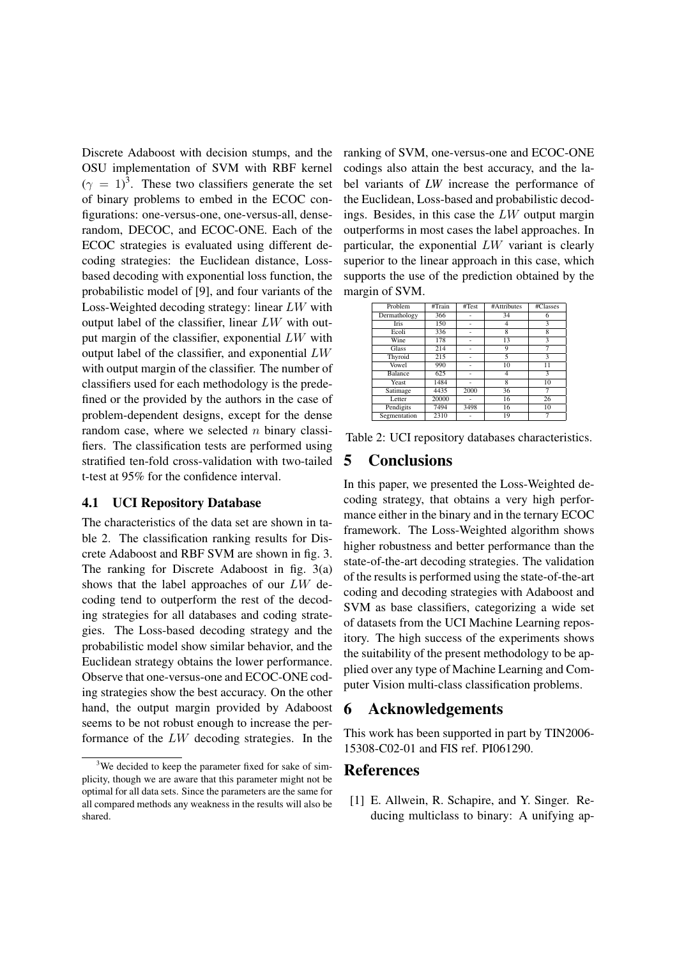Discrete Adaboost with decision stumps, and the OSU implementation of SVM with RBF kernel  $(\gamma = 1)^3$ . These two classifiers generate the set of binary problems to embed in the ECOC configurations: one-versus-one, one-versus-all, denserandom, DECOC, and ECOC-ONE. Each of the ECOC strategies is evaluated using different decoding strategies: the Euclidean distance, Lossbased decoding with exponential loss function, the probabilistic model of [9], and four variants of the Loss-Weighted decoding strategy: linear LW with output label of the classifier, linear LW with output margin of the classifier, exponential LW with output label of the classifier, and exponential LW with output margin of the classifier. The number of classifiers used for each methodology is the predefined or the provided by the authors in the case of problem-dependent designs, except for the dense random case, where we selected  $n$  binary classifiers. The classification tests are performed using stratified ten-fold cross-validation with two-tailed t-test at 95% for the confidence interval.

#### 4.1 UCI Repository Database

The characteristics of the data set are shown in table 2. The classification ranking results for Discrete Adaboost and RBF SVM are shown in fig. 3. The ranking for Discrete Adaboost in fig. 3(a) shows that the label approaches of our LW decoding tend to outperform the rest of the decoding strategies for all databases and coding strategies. The Loss-based decoding strategy and the probabilistic model show similar behavior, and the Euclidean strategy obtains the lower performance. Observe that one-versus-one and ECOC-ONE coding strategies show the best accuracy. On the other hand, the output margin provided by Adaboost seems to be not robust enough to increase the performance of the LW decoding strategies. In the ranking of SVM, one-versus-one and ECOC-ONE codings also attain the best accuracy, and the label variants of *LW* increase the performance of the Euclidean, Loss-based and probabilistic decodings. Besides, in this case the LW output margin outperforms in most cases the label approaches. In particular, the exponential LW variant is clearly superior to the linear approach in this case, which supports the use of the prediction obtained by the margin of SVM.

| Problem      | #Train | #Test | #Attributes | #Classes        |
|--------------|--------|-------|-------------|-----------------|
| Dermathology | 366    |       | 34          | 6               |
| Iris         | 150    |       |             | 3               |
| Ecoli        | 336    |       | 8           | 8               |
| Wine         | 178    |       | 13          | 3               |
| Glass        | 214    |       | 9           | 7               |
| Thyroid      | 215    |       | 5           | 3               |
| Vowel        | 990    |       | 10          | $\overline{11}$ |
| Balance      | 625    |       | 4           | 3               |
| Yeast        | 1484   |       | 8           | 10              |
| Satimage     | 4435   | 2000  | 36          |                 |
| Letter       | 20000  |       | 16          | 26              |
| Pendigits    | 7494   | 3498  | 16          | 10              |
| Segmentation | 2310   |       | 19          |                 |

Table 2: UCI repository databases characteristics.

#### 5 Conclusions

In this paper, we presented the Loss-Weighted decoding strategy, that obtains a very high performance either in the binary and in the ternary ECOC framework. The Loss-Weighted algorithm shows higher robustness and better performance than the state-of-the-art decoding strategies. The validation of the results is performed using the state-of-the-art coding and decoding strategies with Adaboost and SVM as base classifiers, categorizing a wide set of datasets from the UCI Machine Learning repository. The high success of the experiments shows the suitability of the present methodology to be applied over any type of Machine Learning and Computer Vision multi-class classification problems.

#### 6 Acknowledgements

This work has been supported in part by TIN2006- 15308-C02-01 and FIS ref. PI061290.

### References

[1] E. Allwein, R. Schapire, and Y. Singer. Reducing multiclass to binary: A unifying ap-

<sup>&</sup>lt;sup>3</sup>We decided to keep the parameter fixed for sake of simplicity, though we are aware that this parameter might not be optimal for all data sets. Since the parameters are the same for all compared methods any weakness in the results will also be shared.